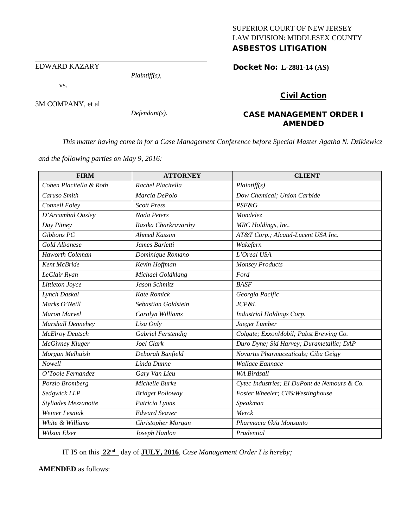# SUPERIOR COURT OF NEW JERSEY LAW DIVISION: MIDDLESEX COUNTY

# ASBESTOS LITIGATION

EDWARD KAZARY

vs.

3M COMPANY, et al

*Defendant(s).*

*Plaintiff(s),*

Docket No: **L-2881-14 (AS)** 

# Civil Action

# CASE MANAGEMENT ORDER I AMENDED

*This matter having come in for a Case Management Conference before Special Master Agatha N. Dzikiewicz* 

*and the following parties on May 9, 2016:*

| <b>FIRM</b>              | <b>ATTORNEY</b>         | <b>CLIENT</b>                                |
|--------------------------|-------------------------|----------------------------------------------|
| Cohen Placitella & Roth  | Rachel Placitella       | Plaintiff(s)                                 |
| Caruso Smith             | Marcia DePolo           | Dow Chemical; Union Carbide                  |
| Connell Foley            | <b>Scott Press</b>      | <b>PSE&amp;G</b>                             |
| D'Arcambal Ousley        | Nada Peters             | Mondelez                                     |
| Day Pitney               | Rasika Charkravarthy    | MRC Holdings, Inc.                           |
| $\overline{G}$ ibbons PC | <b>Ahmed Kassim</b>     | AT&T Corp.; Alcatel-Lucent USA Inc.          |
| Gold Albanese            | James Barletti          | Wakefern                                     |
| <b>Haworth Coleman</b>   | Dominique Romano        | L'Oreal USA                                  |
| Kent McBride             | Kevin Hoffman           | <b>Monsey Products</b>                       |
| LeClair Ryan             | Michael Goldklang       | Ford                                         |
| Littleton Joyce          | Jason Schmitz           | <b>BASF</b>                                  |
| Lynch Daskal             | <b>Kate Romick</b>      | Georgia Pacific                              |
| Marks O'Neill            | Sebastian Goldstein     | JCP & L                                      |
| <b>Maron Marvel</b>      | Carolyn Williams        | <b>Industrial Holdings Corp.</b>             |
| Marshall Dennehey        | Lisa Only               | Jaeger Lumber                                |
| <b>McElroy Deutsch</b>   | Gabriel Ferstendig      | Colgate; ExxonMobil; Pabst Brewing Co.       |
| McGivney Kluger          | Joel Clark              | Duro Dyne; Sid Harvey; Durametallic; DAP     |
| Morgan Melhuish          | Deborah Banfield        | Novartis Pharmaceuticals; Ciba Geigy         |
| <b>Nowell</b>            | Linda Dunne             | Wallace Eannace                              |
| O'Toole Fernandez        | Gary Van Lieu           | <b>WA Birdsall</b>                           |
| Porzio Bromberg          | Michelle Burke          | Cytec Industries; EI DuPont de Nemours & Co. |
| Sedgwick LLP             | <b>Bridget Polloway</b> | Foster Wheeler; CBS/Westinghouse             |
| Styliades Mezzanotte     | Patricia Lyons          | Speakman                                     |
| Weiner Lesniak           | <b>Edward Seaver</b>    | Merck                                        |
| White & Williams         | Christopher Morgan      | Pharmacia f/k/a Monsanto                     |
| <b>Wilson Elser</b>      | Joseph Hanlon           | Prudential                                   |

IT IS on this **22nd** day of **JULY, 2016**, *Case Management Order I is hereby;*

**AMENDED** as follows: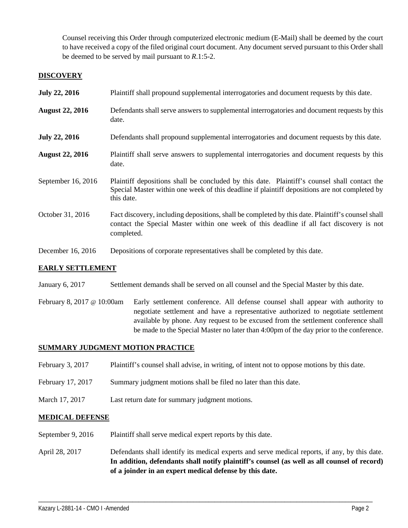Counsel receiving this Order through computerized electronic medium (E-Mail) shall be deemed by the court to have received a copy of the filed original court document. Any document served pursuant to this Order shall be deemed to be served by mail pursuant to *R*.1:5-2.

### **DISCOVERY**

| <b>July 22, 2016</b>   | Plaintiff shall propound supplemental interrogatories and document requests by this date.                                                                                                                   |
|------------------------|-------------------------------------------------------------------------------------------------------------------------------------------------------------------------------------------------------------|
| <b>August 22, 2016</b> | Defendants shall serve answers to supplemental interrogatories and document requests by this<br>date.                                                                                                       |
| <b>July 22, 2016</b>   | Defendants shall propound supplemental interrogatories and document requests by this date.                                                                                                                  |
| <b>August 22, 2016</b> | Plaintiff shall serve answers to supplemental interrogatories and document requests by this<br>date.                                                                                                        |
| September 16, 2016     | Plaintiff depositions shall be concluded by this date. Plaintiff's counsel shall contact the<br>Special Master within one week of this deadline if plaintiff depositions are not completed by<br>this date. |
| October 31, 2016       | Fact discovery, including depositions, shall be completed by this date. Plaintiff's counsel shall<br>contact the Special Master within one week of this deadline if all fact discovery is not<br>completed. |
| December 16, 2016      | Depositions of corporate representatives shall be completed by this date.                                                                                                                                   |

#### **EARLY SETTLEMENT**

- January 6, 2017 Settlement demands shall be served on all counsel and the Special Master by this date.
- February 8, 2017 @ 10:00am Early settlement conference. All defense counsel shall appear with authority to negotiate settlement and have a representative authorized to negotiate settlement available by phone. Any request to be excused from the settlement conference shall be made to the Special Master no later than 4:00pm of the day prior to the conference.

#### **SUMMARY JUDGMENT MOTION PRACTICE**

- February 3, 2017 Plaintiff's counsel shall advise, in writing, of intent not to oppose motions by this date.
- February 17, 2017 Summary judgment motions shall be filed no later than this date.
- March 17, 2017 Last return date for summary judgment motions.

#### **MEDICAL DEFENSE**

- September 9, 2016 Plaintiff shall serve medical expert reports by this date.
- April 28, 2017 Defendants shall identify its medical experts and serve medical reports, if any, by this date. **In addition, defendants shall notify plaintiff's counsel (as well as all counsel of record) of a joinder in an expert medical defense by this date.**

\_\_\_\_\_\_\_\_\_\_\_\_\_\_\_\_\_\_\_\_\_\_\_\_\_\_\_\_\_\_\_\_\_\_\_\_\_\_\_\_\_\_\_\_\_\_\_\_\_\_\_\_\_\_\_\_\_\_\_\_\_\_\_\_\_\_\_\_\_\_\_\_\_\_\_\_\_\_\_\_\_\_\_\_\_\_\_\_\_\_\_\_\_\_\_\_\_\_\_\_\_\_\_\_\_\_\_\_\_\_